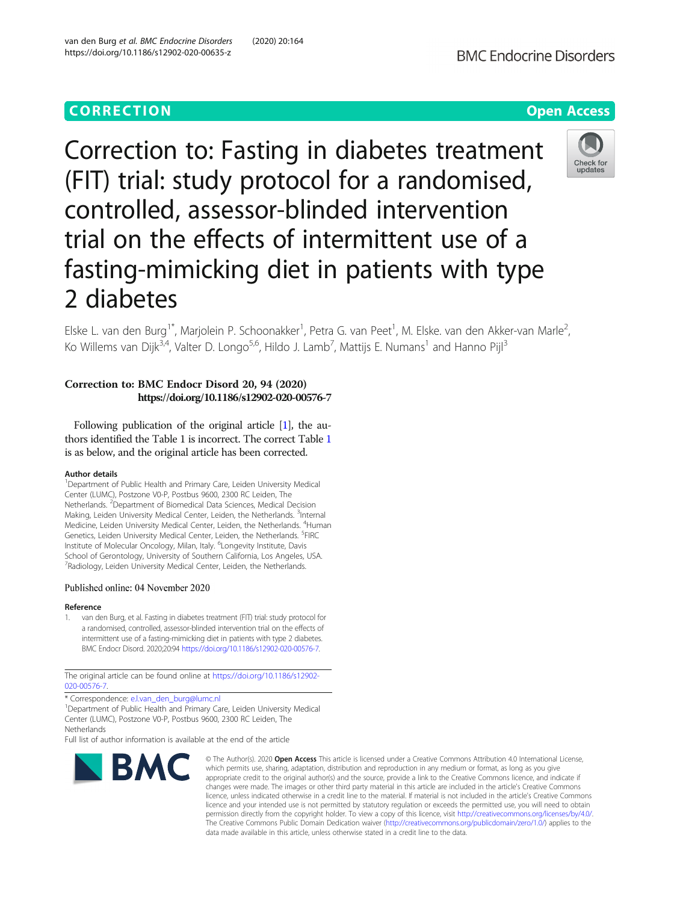Correction to: Fasting in diabetes treatment (FIT) trial: study protocol for a randomised, controlled, assessor-blinded intervention trial on the effects of intermittent use of a fasting-mimicking diet in patients with type 2 diabetes

Elske L. van den Burg<sup>1\*</sup>, Marjolein P. Schoonakker<sup>1</sup>, Petra G. van Peet<sup>1</sup>, M. Elske. van den Akker-van Marle<sup>2</sup> Ko Willems van Dijk<sup>3,4</sup>, Valter D. Longo<sup>5,6</sup>, Hildo J. Lamb<sup>7</sup>, Mattijs E. Numans<sup>1</sup> and Hanno Pijl<sup>3</sup>

# Correction to: BMC Endocr Disord 20, 94 (2020) https://doi.org/10.1186/s12902-020-00576-7

Following publication of the original article [1], the authors identified the Table 1 is incorrect. The correct Table [1](#page-1-0) is as below, and the original article has been corrected.

### Author details

<sup>1</sup>Department of Public Health and Primary Care, Leiden University Medical Center (LUMC), Postzone V0-P, Postbus 9600, 2300 RC Leiden, The Netherlands. <sup>2</sup>Department of Biomedical Data Sciences, Medical Decision Making, Leiden University Medical Center, Leiden, the Netherlands. <sup>3</sup>Internal Medicine, Leiden University Medical Center, Leiden, the Netherlands. <sup>4</sup>Human Genetics, Leiden University Medical Center, Leiden, the Netherlands. <sup>5</sup>FIRC Institute of Molecular Oncology, Milan, Italy. <sup>6</sup>Longevity Institute, Davis School of Gerontology, University of Southern California, Los Angeles, USA. <sup>7</sup> Radiology, Leiden University Medical Center, Leiden, the Netherlands.

### Published online: 04 November 2020

#### Reference

1. van den Burg, et al. Fasting in diabetes treatment (FIT) trial: study protocol for a randomised, controlled, assessor-blinded intervention trial on the effects of intermittent use of a fasting-mimicking diet in patients with type 2 diabetes. BMC Endocr Disord. 2020;20:94 <https://doi.org/10.1186/s12902-020-00576-7>.

The original article can be found online at [https://doi.org/10.1186/s12902-](https://doi.org/10.1186/s12902-020-00576-7) [020-00576-7](https://doi.org/10.1186/s12902-020-00576-7)

\* Correspondence: [e.l.van\\_den\\_burg@lumc.nl](mailto:e.l.van_den_burg@lumc.nl) <sup>1</sup>

BMC

<sup>1</sup>Department of Public Health and Primary Care, Leiden University Medical Center (LUMC), Postzone V0-P, Postbus 9600, 2300 RC Leiden, The **Netherlands** 

Full list of author information is available at the end of the article

## van den Burg et al. BMC Endocrine Disorders (2020) 20:164 https://doi.org/10.1186/s12902-020-00635-z

which permits use, sharing, adaptation, distribution and reproduction in any medium or format, as long as you give appropriate credit to the original author(s) and the source, provide a link to the Creative Commons licence, and indicate if changes were made. The images or other third party material in this article are included in the article's Creative Commons licence, unless indicated otherwise in a credit line to the material. If material is not included in the article's Creative Commons licence and your intended use is not permitted by statutory regulation or exceeds the permitted use, you will need to obtain permission directly from the copyright holder. To view a copy of this licence, visit [http://creativecommons.org/licenses/by/4.0/.](http://creativecommons.org/licenses/by/4.0/) The Creative Commons Public Domain Dedication waiver [\(http://creativecommons.org/publicdomain/zero/1.0/](http://creativecommons.org/publicdomain/zero/1.0/)) applies to the data made available in this article, unless otherwise stated in a credit line to the data.

© The Author(s), 2020 **Open Access** This article is licensed under a Creative Commons Attribution 4.0 International License,



,